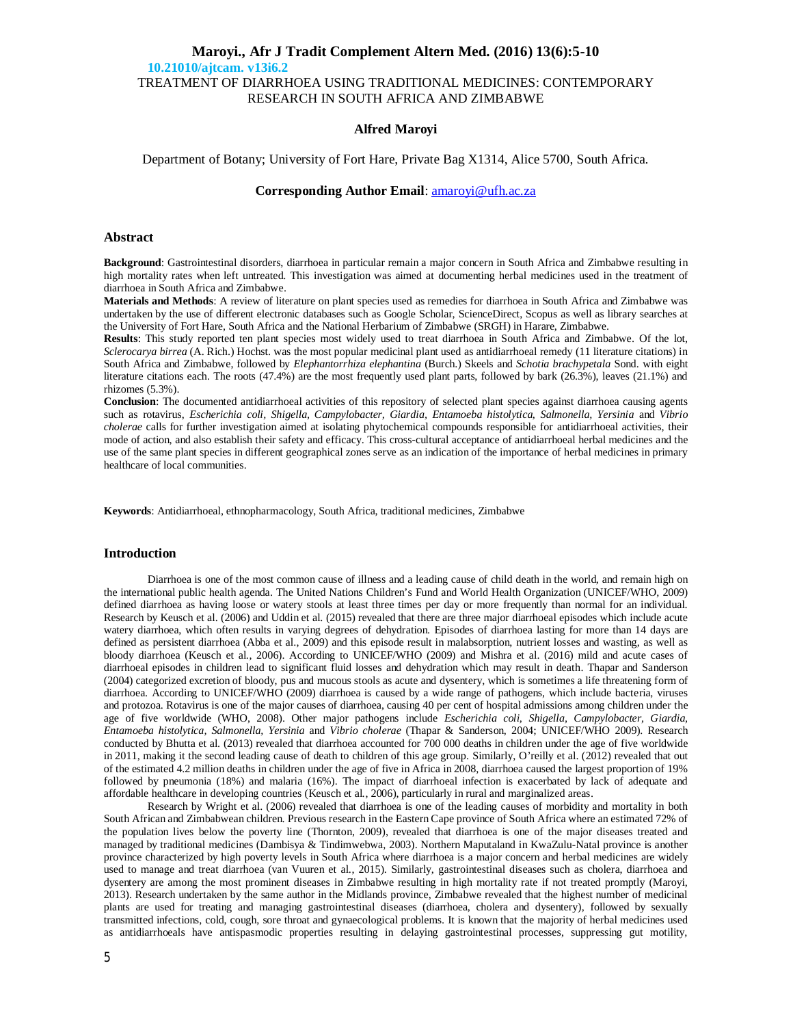# **Maroyi., Afr J Tradit Complement Altern Med. (2016) 13(6):5-10 10.21010/ajtcam. v13i6.2** TREATMENT OF DIARRHOEA USING TRADITIONAL MEDICINES: CONTEMPORARY RESEARCH IN SOUTH AFRICA AND ZIMBABWE

## **Alfred Maroyi**

### Department of Botany; University of Fort Hare, Private Bag X1314, Alice 5700, South Africa.

### **Corresponding Author Email**: amaroyi@ufh.ac.za

## **Abstract**

**Background**: Gastrointestinal disorders, diarrhoea in particular remain a major concern in South Africa and Zimbabwe resulting in high mortality rates when left untreated. This investigation was aimed at documenting herbal medicines used in the treatment of diarrhoea in South Africa and Zimbabwe.

**Materials and Methods**: A review of literature on plant species used as remedies for diarrhoea in South Africa and Zimbabwe was undertaken by the use of different electronic databases such as Google Scholar, ScienceDirect, Scopus as well as library searches at the University of Fort Hare, South Africa and the National Herbarium of Zimbabwe (SRGH) in Harare, Zimbabwe.

**Results**: This study reported ten plant species most widely used to treat diarrhoea in South Africa and Zimbabwe. Of the lot, *Sclerocarya birrea* (A. Rich.) Hochst. was the most popular medicinal plant used as antidiarrhoeal remedy (11 literature citations) in South Africa and Zimbabwe, followed by *Elephantorrhiza elephantina* (Burch.) Skeels and *Schotia brachypetala* Sond. with eight literature citations each. The roots (47.4%) are the most frequently used plant parts, followed by bark (26.3%), leaves (21.1%) and rhizomes (5.3%).

**Conclusion**: The documented antidiarrhoeal activities of this repository of selected plant species against diarrhoea causing agents such as rotavirus, *Escherichia coli, Shigella, Campylobacter, Giardia, Entamoeba histolytica, Salmonella, Yersinia* and *Vibrio cholerae* calls for further investigation aimed at isolating phytochemical compounds responsible for antidiarrhoeal activities, their mode of action, and also establish their safety and efficacy. This cross-cultural acceptance of antidiarrhoeal herbal medicines and the use of the same plant species in different geographical zones serve as an indication of the importance of herbal medicines in primary healthcare of local communities.

**Keywords**: Antidiarrhoeal, ethnopharmacology, South Africa, traditional medicines, Zimbabwe

### **Introduction**

Diarrhoea is one of the most common cause of illness and a leading cause of child death in the world, and remain high on the international public health agenda. The United Nations Children's Fund and World Health Organization (UNICEF/WHO, 2009) defined diarrhoea as having loose or watery stools at least three times per day or more frequently than normal for an individual. Research by Keusch et al. (2006) and Uddin et al. (2015) revealed that there are three major diarrhoeal episodes which include acute watery diarrhoea, which often results in varying degrees of dehydration. Episodes of diarrhoea lasting for more than 14 days are defined as persistent diarrhoea (Abba et al., 2009) and this episode result in malabsorption, nutrient losses and wasting, as well as bloody diarrhoea (Keusch et al., 2006). According to UNICEF/WHO (2009) and Mishra et al. (2016) mild and acute cases of diarrhoeal episodes in children lead to significant fluid losses and dehydration which may result in death. Thapar and Sanderson (2004) categorized excretion of bloody, pus and mucous stools as acute and dysentery, which is sometimes a life threatening form of diarrhoea. According to UNICEF/WHO (2009) diarrhoea is caused by a wide range of pathogens, which include bacteria, viruses and protozoa. Rotavirus is one of the major causes of diarrhoea, causing 40 per cent of hospital admissions among children under the age of five worldwide (WHO, 2008). Other major pathogens include *Escherichia coli, Shigella, Campylobacter, Giardia, Entamoeba histolytica, Salmonella, Yersinia* and *Vibrio cholerae* (Thapar & Sanderson, 2004; UNICEF/WHO 2009). Research conducted by Bhutta et al. (2013) revealed that diarrhoea accounted for 700 000 deaths in children under the age of five worldwide in 2011, making it the second leading cause of death to children of this age group. Similarly, O'reilly et al. (2012) revealed that out of the estimated 4.2 million deaths in children under the age of five in Africa in 2008, diarrhoea caused the largest proportion of 19% followed by pneumonia (18%) and malaria (16%). The impact of diarrhoeal infection is exacerbated by lack of adequate and affordable healthcare in developing countries (Keusch et al., 2006), particularly in rural and marginalized areas.

Research by Wright et al. (2006) revealed that diarrhoea is one of the leading causes of morbidity and mortality in both South African and Zimbabwean children. Previous research in the Eastern Cape province of South Africa where an estimated 72% of the population lives below the poverty line (Thornton, 2009), revealed that diarrhoea is one of the major diseases treated and managed by traditional medicines (Dambisya & Tindimwebwa, 2003). Northern Maputaland in KwaZulu-Natal province is another province characterized by high poverty levels in South Africa where diarrhoea is a major concern and herbal medicines are widely used to manage and treat diarrhoea (van Vuuren et al., 2015). Similarly, gastrointestinal diseases such as cholera, diarrhoea and dysentery are among the most prominent diseases in Zimbabwe resulting in high mortality rate if not treated promptly (Maroyi, 2013). Research undertaken by the same author in the Midlands province, Zimbabwe revealed that the highest number of medicinal plants are used for treating and managing gastrointestinal diseases (diarrhoea, cholera and dysentery), followed by sexually transmitted infections, cold, cough, sore throat and gynaecological problems. It is known that the majority of herbal medicines used as antidiarrhoeals have antispasmodic properties resulting in delaying gastrointestinal processes, suppressing gut motility,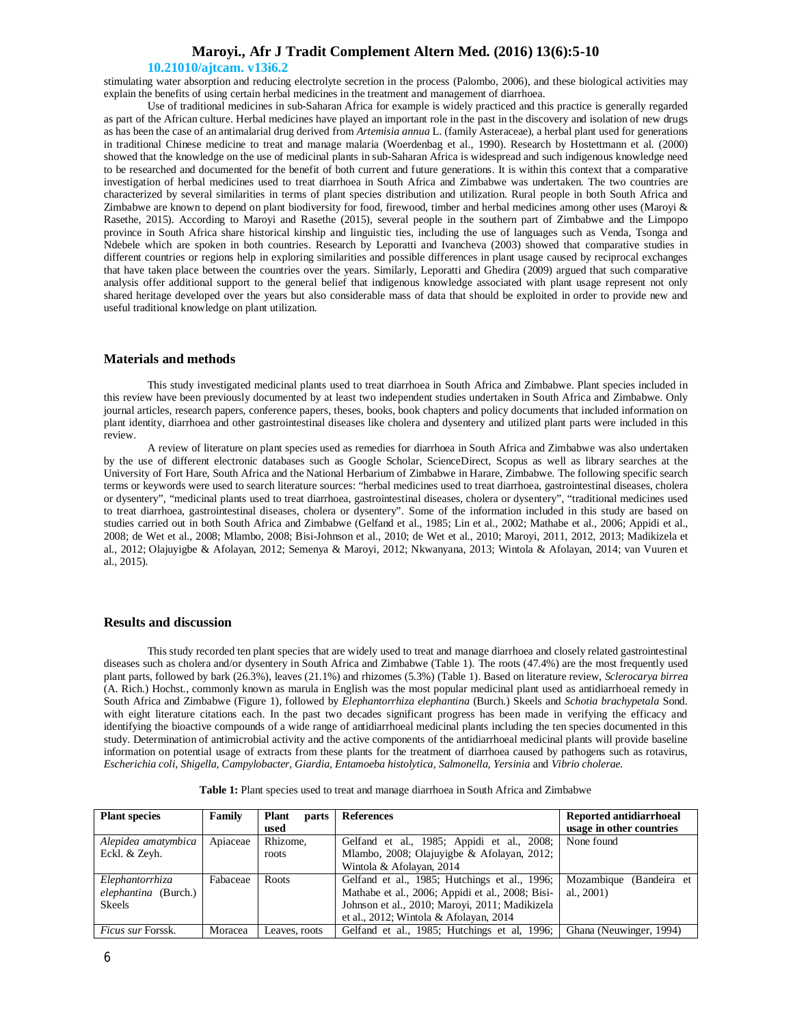### **10.21010/ajtcam. v13i6.2**

stimulating water absorption and reducing electrolyte secretion in the process (Palombo, 2006), and these biological activities may explain the benefits of using certain herbal medicines in the treatment and management of diarrhoea.

Use of traditional medicines in sub-Saharan Africa for example is widely practiced and this practice is generally regarded as part of the African culture. Herbal medicines have played an important role in the past in the discovery and isolation of new drugs as has been the case of an antimalarial drug derived from *Artemisia annua* L. (family Asteraceae), a herbal plant used for generations in traditional Chinese medicine to treat and manage malaria (Woerdenbag et al., 1990). Research by Hostettmann et al. (2000) showed that the knowledge on the use of medicinal plants in sub-Saharan Africa is widespread and such indigenous knowledge need to be researched and documented for the benefit of both current and future generations. It is within this context that a comparative investigation of herbal medicines used to treat diarrhoea in South Africa and Zimbabwe was undertaken. The two countries are characterized by several similarities in terms of plant species distribution and utilization. Rural people in both South Africa and Zimbabwe are known to depend on plant biodiversity for food, firewood, timber and herbal medicines among other uses (Maroyi & Rasethe, 2015). According to Maroyi and Rasethe (2015), several people in the southern part of Zimbabwe and the Limpopo province in South Africa share historical kinship and linguistic ties, including the use of languages such as Venda, Tsonga and Ndebele which are spoken in both countries. Research by Leporatti and Ivancheva (2003) showed that comparative studies in different countries or regions help in exploring similarities and possible differences in plant usage caused by reciprocal exchanges that have taken place between the countries over the years. Similarly, Leporatti and Ghedira (2009) argued that such comparative analysis offer additional support to the general belief that indigenous knowledge associated with plant usage represent not only shared heritage developed over the years but also considerable mass of data that should be exploited in order to provide new and useful traditional knowledge on plant utilization.

### **Materials and methods**

This study investigated medicinal plants used to treat diarrhoea in South Africa and Zimbabwe. Plant species included in this review have been previously documented by at least two independent studies undertaken in South Africa and Zimbabwe. Only journal articles, research papers, conference papers, theses, books, book chapters and policy documents that included information on plant identity, diarrhoea and other gastrointestinal diseases like cholera and dysentery and utilized plant parts were included in this review.

A review of literature on plant species used as remedies for diarrhoea in South Africa and Zimbabwe was also undertaken by the use of different electronic databases such as Google Scholar, ScienceDirect, Scopus as well as library searches at the University of Fort Hare, South Africa and the National Herbarium of Zimbabwe in Harare, Zimbabwe. The following specific search terms or keywords were used to search literature sources: "herbal medicines used to treat diarrhoea, gastrointestinal diseases, cholera or dysentery", "medicinal plants used to treat diarrhoea, gastrointestinal diseases, cholera or dysentery", "traditional medicines used to treat diarrhoea, gastrointestinal diseases, cholera or dysentery". Some of the information included in this study are based on studies carried out in both South Africa and Zimbabwe (Gelfand et al., 1985; Lin et al., 2002; Mathabe et al., 2006; Appidi et al., 2008; de Wet et al., 2008; Mlambo, 2008; Bisi-Johnson et al., 2010; de Wet et al., 2010; Maroyi, 2011, 2012, 2013; Madikizela et al., 2012; Olajuyigbe & Afolayan, 2012; Semenya & Maroyi, 2012; Nkwanyana, 2013; Wintola & Afolayan, 2014; van Vuuren et al., 2015).

## **Results and discussion**

This study recorded ten plant species that are widely used to treat and manage diarrhoea and closely related gastrointestinal diseases such as cholera and/or dysentery in South Africa and Zimbabwe (Table 1). The roots (47.4%) are the most frequently used plant parts, followed by bark (26.3%), leaves (21.1%) and rhizomes (5.3%) (Table 1). Based on literature review, *Sclerocarya birrea* (A. Rich.) Hochst., commonly known as marula in English was the most popular medicinal plant used as antidiarrhoeal remedy in South Africa and Zimbabwe (Figure 1), followed by *Elephantorrhiza elephantina* (Burch.) Skeels and *Schotia brachypetala* Sond. with eight literature citations each. In the past two decades significant progress has been made in verifying the efficacy and identifying the bioactive compounds of a wide range of antidiarrhoeal medicinal plants including the ten species documented in this study. Determination of antimicrobial activity and the active components of the antidiarrhoeal medicinal plants will provide baseline information on potential usage of extracts from these plants for the treatment of diarrhoea caused by pathogens such as rotavirus, *Escherichia coli, Shigella, Campylobacter, Giardia, Entamoeba histolytica, Salmonella, Yersinia* and *Vibrio cholerae.* 

| <b>Plant species</b>     | Family   | <b>Plant</b><br>parts | <b>References</b>                                | Reported antidiarrhoeal    |
|--------------------------|----------|-----------------------|--------------------------------------------------|----------------------------|
|                          |          | used                  |                                                  | usage in other countries   |
| Alepidea amatymbica      | Apiaceae | Rhizome,              | Gelfand et al., 1985; Appidi et al., 2008;       | None found                 |
| Eckl. & Zeyh.            |          | roots                 | Mlambo, 2008; Olajuyigbe & Afolayan, 2012;       |                            |
|                          |          |                       | Wintola & Afolayan, 2014                         |                            |
| Elephantorrhiza          | Fabaceae | Roots                 | Gelfand et al., 1985; Hutchings et al., 1996;    | Mozambique<br>(Bandeira et |
| elephantina (Burch.)     |          |                       | Mathabe et al., 2006; Appidi et al., 2008; Bisi- | al., $2001$ )              |
| <b>Skeels</b>            |          |                       | Johnson et al., 2010; Maroyi, 2011; Madikizela   |                            |
|                          |          |                       | et al., 2012; Wintola & Afolayan, 2014           |                            |
| <i>Ficus sur Forssk.</i> | Moracea  | Leaves, roots         | Gelfand et al., 1985; Hutchings et al. 1996;     | Ghana (Neuwinger, 1994)    |

**Table 1:** Plant species used to treat and manage diarrhoea in South Africa and Zimbabwe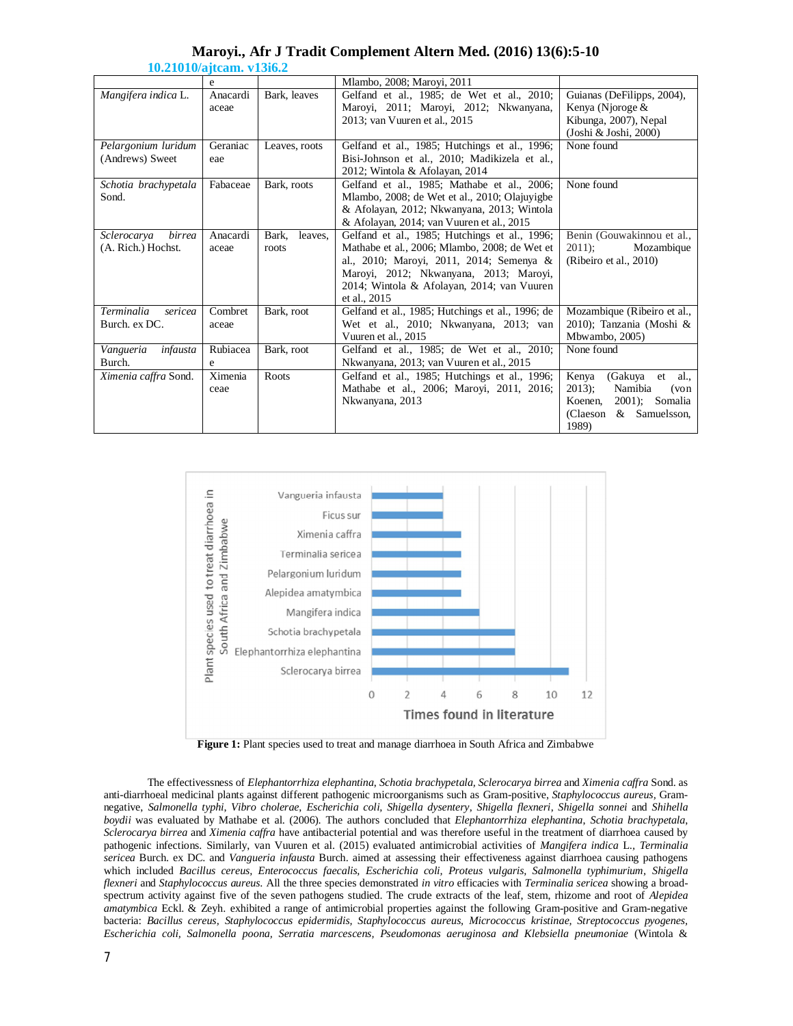| 10.21010/ajtcam. v13i6.2                      |                   |                           |                                                                                                                                                                                                                                                    |                                                                                                                                          |  |  |  |
|-----------------------------------------------|-------------------|---------------------------|----------------------------------------------------------------------------------------------------------------------------------------------------------------------------------------------------------------------------------------------------|------------------------------------------------------------------------------------------------------------------------------------------|--|--|--|
|                                               | e                 |                           | Mlambo, 2008; Maroyi, 2011                                                                                                                                                                                                                         |                                                                                                                                          |  |  |  |
| Mangifera indica L.                           | Anacardi<br>aceae | Bark, leaves              | Gelfand et al., 1985; de Wet et al., 2010;<br>Maroyi, 2011; Maroyi, 2012; Nkwanyana,<br>2013; van Vuuren et al., 2015                                                                                                                              | Guianas (DeFilipps, 2004),<br>Kenya (Njoroge &<br>Kibunga, 2007), Nepal<br>(John & Joshi, 2000)                                          |  |  |  |
| Pelargonium luridum<br>(Andrews) Sweet        | Geraniac<br>eae   | Leaves, roots             | Gelfand et al., 1985; Hutchings et al., 1996;<br>Bisi-Johnson et al., 2010; Madikizela et al.,<br>2012; Wintola & Afolayan, 2014                                                                                                                   | None found                                                                                                                               |  |  |  |
| Schotia brachypetala<br>Sond.                 | Fabaceae          | Bark, roots               | Gelfand et al., 1985; Mathabe et al., 2006;<br>Mlambo, 2008; de Wet et al., 2010; Olajuyigbe<br>& Afolayan, 2012; Nkwanyana, 2013; Wintola<br>& Afolayan, 2014; van Vuuren et al., 2015                                                            | None found                                                                                                                               |  |  |  |
| birrea<br>Sclerocarya<br>(A. Rich.) Hochst.   | Anacardi<br>aceae | Bark,<br>leaves,<br>roots | Gelfand et al., 1985; Hutchings et al., 1996;<br>Mathabe et al., 2006; Mlambo, 2008; de Wet et<br>al., 2010; Maroyi, 2011, 2014; Semenya &<br>Maroyi, 2012; Nkwanyana, 2013; Maroyi,<br>2014; Wintola & Afolayan, 2014; van Vuuren<br>et al., 2015 | Benin (Gouwakinnou et al.,<br>2011); Mozambique<br>(Ribeiro et al., 2010)                                                                |  |  |  |
| <b>Terminalia</b><br>sericea<br>Burch. ex DC. | Combret<br>aceae  | Bark, root                | Gelfand et al., 1985; Hutchings et al., 1996; de<br>Wet et al., 2010; Nkwanyana, 2013; van<br>Vuuren et al., 2015                                                                                                                                  | Mozambique (Ribeiro et al.,<br>2010); Tanzania (Moshi &<br>Mbwambo, 2005)                                                                |  |  |  |
| Vangueria<br>infausta<br>Burch.               | Rubiacea<br>e     | Bark, root                | Gelfand et al., 1985; de Wet et al., 2010;<br>Nkwanyana, 2013; van Vuuren et al., 2015                                                                                                                                                             | None found                                                                                                                               |  |  |  |
| Ximenia caffra Sond.                          | Ximenia<br>ceae   | Roots                     | Gelfand et al., 1985; Hutchings et al., 1996;<br>Mathabe et al., 2006; Maroyi, 2011, 2016;<br>Nkwanyana, 2013                                                                                                                                      | Kenya<br>(Gakuya<br>et<br>al.<br>$2013$ :<br>Namibia<br>(von<br>$2001$ : Somalia<br>Koenen,<br>(Claeson)<br>$\&$<br>Samuelsson,<br>1989) |  |  |  |



**Figure 1:** Plant species used to treat and manage diarrhoea in South Africa and Zimbabwe

The effectivessness of *Elephantorrhiza elephantina*, *Schotia brachypetala, Sclerocarya birrea* and *Ximenia caffra* Sond. as anti-diarrhoeal medicinal plants against different pathogenic microorganisms such as Gram-positive, *Staphylococcus aureus,* Gramnegative, *Salmonella typhi*, *Vibro cholerae*, *Escherichia coli, Shigella dysentery*, *Shigella flexneri*, *Shigella sonnei* and *Shihella boydii* was evaluated by Mathabe et al. (2006). The authors concluded that *Elephantorrhiza elephantina*, *Schotia brachypetala*, *Sclerocarya birrea* and *Ximenia caffra* have antibacterial potential and was therefore useful in the treatment of diarrhoea caused by pathogenic infections. Similarly, van Vuuren et al. (2015) evaluated antimicrobial activities of *Mangifera indica* L.*, Terminalia sericea* Burch. ex DC. and *Vangueria infausta* Burch. aimed at assessing their effectiveness against diarrhoea causing pathogens which included *Bacillus cereus, Enterococcus faecalis, Escherichia coli, Proteus vulgaris, Salmonella typhimurium, Shigella flexneri* and *Staphylococcus aureus*. All the three species demonstrated *in vitro* efficacies with *Terminalia sericea* showing a broadspectrum activity against five of the seven pathogens studied. The crude extracts of the leaf, stem, rhizome and root of *Alepidea amatymbica* Eckl. & Zeyh. exhibited a range of antimicrobial properties against the following Gram-positive and Gram-negative bacteria: *Bacillus cereus, Staphylococcus epidermidis, Staphylococcus aureus, Micrococcus kristinae, Streptococcus pyogenes, Escherichia coli, Salmonella poona, Serratia marcescens, Pseudomonas aeruginosa and Klebsiella pneumoniae* (Wintola &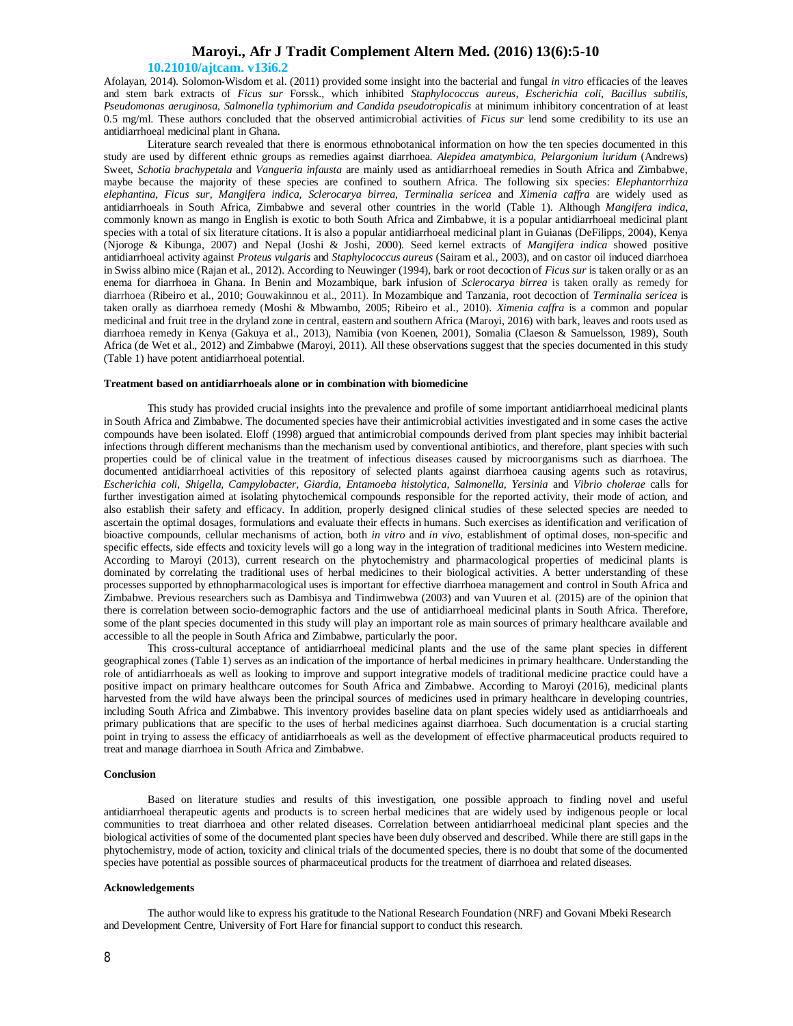#### **10.21010/ajtcam. v13i6.2**

Afolayan, 2014). Solomon-Wisdom et al. (2011) provided some insight into the bacterial and fungal *in vitro* efficacies of the leaves and stem bark extracts of *Ficus sur* Forssk., which inhibited *Staphylococcus aureus*, *Escherichia coli*, *Bacillus subtilis, Pseudomonas aeruginosa, Salmonella typhimorium and Candida pseudotropicalis* at minimum inhibitory concentration of at least 0.5 mg/ml. These authors concluded that the observed antimicrobial activities of *Ficus sur* lend some credibility to its use an antidiarrhoeal medicinal plant in Ghana.

Literature search revealed that there is enormous ethnobotanical information on how the ten species documented in this study are used by different ethnic groups as remedies against diarrhoea. *Alepidea amatymbica, Pelargonium luridum* (Andrews) Sweet*, Schotia brachypetala* and *Vangueria infausta* are mainly used as antidiarrhoeal remedies in South Africa and Zimbabwe, maybe because the majority of these species are confined to southern Africa. The following six species: *Elephantorrhiza elephantina*, *Ficus sur, Mangifera indica, Sclerocarya birrea, Terminalia sericea* and *Ximenia caffra* are widely used as antidiarrhoeals in South Africa, Zimbabwe and several other countries in the world (Table 1). Although *Mangifera indica*, commonly known as mango in English is exotic to both South Africa and Zimbabwe, it is a popular antidiarrhoeal medicinal plant species with a total of six literature citations. It is also a popular antidiarrhoeal medicinal plant in Guianas (DeFilipps, 2004), Kenya (Njoroge & Kibunga, 2007) and Nepal (Joshi & Joshi, 2000). Seed kernel extracts of *Mangifera indica* showed positive antidiarrhoeal activity against *Proteus vulgaris* and *Staphylococcus aureus* (Sairam et al., 2003), and on castor oil induced diarrhoea in Swiss albino mice (Rajan et al., 2012). According to Neuwinger (1994), bark or root decoction of *Ficus sur* is taken orally or as an enema for diarrhoea in Ghana. In Benin and Mozambique, bark infusion of *Sclerocarya birrea* is taken orally as remedy for diarrhoea (Ribeiro et al., 2010; Gouwakinnou et al., 2011). In Mozambique and Tanzania, root decoction of *Terminalia sericea* is taken orally as diarrhoea remedy (Moshi & Mbwambo, 2005; Ribeiro et al., 2010). *Ximenia caffra* is a common and popular medicinal and fruit tree in the dryland zone in central, eastern and southern Africa (Maroyi, 2016) with bark, leaves and roots used as diarrhoea remedy in Kenya (Gakuya et al., 2013), Namibia (von Koenen, 2001), Somalia (Claeson & Samuelsson, 1989), South Africa (de Wet et al., 2012) and Zimbabwe (Maroyi, 2011). All these observations suggest that the species documented in this study (Table 1) have potent antidiarrhoeal potential.

### **Treatment based on antidiarrhoeals alone or in combination with biomedicine**

This study has provided crucial insights into the prevalence and profile of some important antidiarrhoeal medicinal plants in South Africa and Zimbabwe. The documented species have their antimicrobial activities investigated and in some cases the active compounds have been isolated. Eloff (1998) argued that antimicrobial compounds derived from plant species may inhibit bacterial infections through different mechanisms than the mechanism used by conventional antibiotics, and therefore, plant species with such properties could be of clinical value in the treatment of infectious diseases caused by microorganisms such as diarrhoea. The documented antidiarrhoeal activities of this repository of selected plants against diarrhoea causing agents such as rotavirus, *Escherichia coli, Shigella, Campylobacter, Giardia, Entamoeba histolytica, Salmonella, Yersinia* and *Vibrio cholerae* calls for further investigation aimed at isolating phytochemical compounds responsible for the reported activity, their mode of action, and also establish their safety and efficacy. In addition, properly designed clinical studies of these selected species are needed to ascertain the optimal dosages, formulations and evaluate their effects in humans. Such exercises as identification and verification of bioactive compounds, cellular mechanisms of action, both *in vitro* and *in vivo*, establishment of optimal doses, non-specific and specific effects, side effects and toxicity levels will go a long way in the integration of traditional medicines into Western medicine. According to Maroyi (2013), current research on the phytochemistry and pharmacological properties of medicinal plants is dominated by correlating the traditional uses of herbal medicines to their biological activities. A better understanding of these processes supported by ethnopharmacological uses is important for effective diarrhoea management and control in South Africa and Zimbabwe. Previous researchers such as Dambisya and Tindimwebwa (2003) and van Vuuren et al. (2015) are of the opinion that there is correlation between socio-demographic factors and the use of antidiarrhoeal medicinal plants in South Africa. Therefore, some of the plant species documented in this study will play an important role as main sources of primary healthcare available and accessible to all the people in South Africa and Zimbabwe, particularly the poor.

This cross-cultural acceptance of antidiarrhoeal medicinal plants and the use of the same plant species in different geographical zones (Table 1) serves as an indication of the importance of herbal medicines in primary healthcare. Understanding the role of antidiarrhoeals as well as looking to improve and support integrative models of traditional medicine practice could have a positive impact on primary healthcare outcomes for South Africa and Zimbabwe. According to Maroyi (2016), medicinal plants harvested from the wild have always been the principal sources of medicines used in primary healthcare in developing countries, including South Africa and Zimbabwe. This inventory provides baseline data on plant species widely used as antidiarrhoeals and primary publications that are specific to the uses of herbal medicines against diarrhoea. Such documentation is a crucial starting point in trying to assess the efficacy of antidiarrhoeals as well as the development of effective pharmaceutical products required to treat and manage diarrhoea in South Africa and Zimbabwe.

### **Conclusion**

Based on literature studies and results of this investigation, one possible approach to finding novel and useful antidiarrhoeal therapeutic agents and products is to screen herbal medicines that are widely used by indigenous people or local communities to treat diarrhoea and other related diseases. Correlation between antidiarrhoeal medicinal plant species and the biological activities of some of the documented plant species have been duly observed and described. While there are still gaps in the phytochemistry, mode of action, toxicity and clinical trials of the documented species, there is no doubt that some of the documented species have potential as possible sources of pharmaceutical products for the treatment of diarrhoea and related diseases.

#### **Acknowledgements**

The author would like to express his gratitude to the National Research Foundation (NRF) and Govani Mbeki Research and Development Centre, University of Fort Hare for financial support to conduct this research.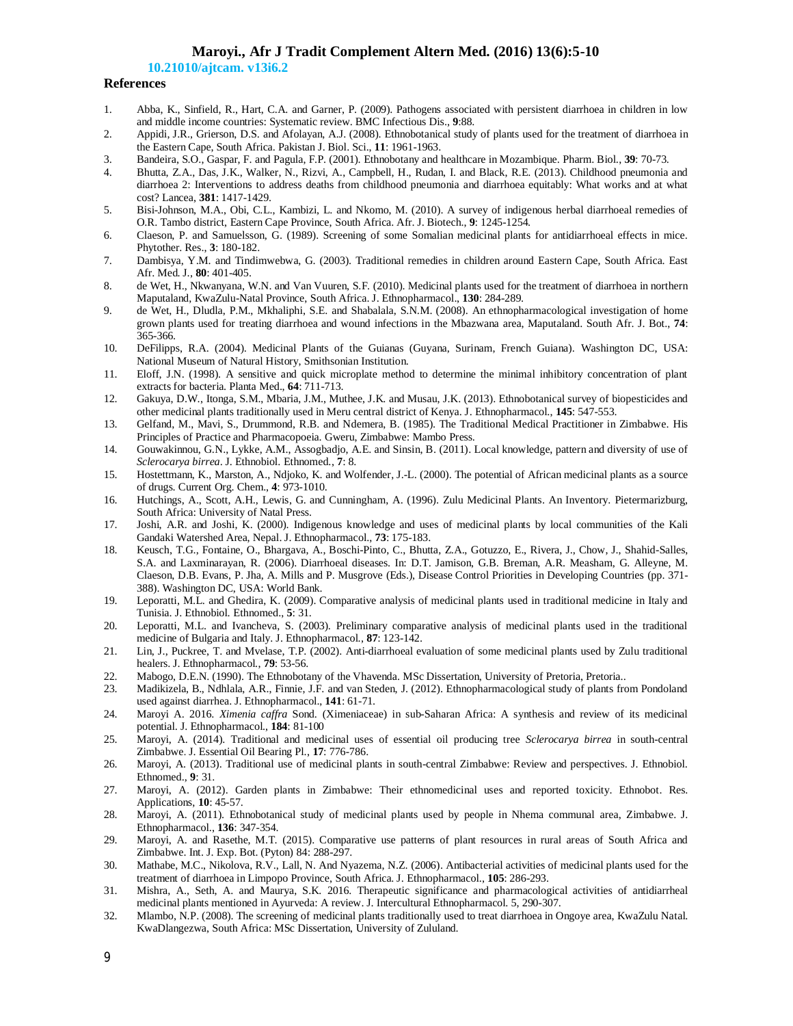**10.21010/ajtcam. v13i6.2**

## **References**

- 1. Abba, K., Sinfield, R., Hart, C.A. and Garner, P. (2009). Pathogens associated with persistent diarrhoea in children in low and middle income countries: Systematic review. BMC Infectious Dis., **9**:88.
- 2. Appidi, J.R., Grierson, D.S. and Afolayan, A.J. (2008). Ethnobotanical study of plants used for the treatment of diarrhoea in the Eastern Cape, South Africa. Pakistan J. Biol. Sci., **11**: 1961-1963.
- 3. Bandeira, S.O., Gaspar, F. and Pagula, F.P. (2001). Ethnobotany and healthcare in Mozambique. Pharm. Biol., **39**: 70-73.
- 4. Bhutta, Z.A., Das, J.K., Walker, N., Rizvi, A., Campbell, H., Rudan, I. and Black, R.E. (2013). Childhood pneumonia and diarrhoea 2: Interventions to address deaths from childhood pneumonia and diarrhoea equitably: What works and at what cost? Lancea, **381**: 1417-1429.
- 5. Bisi-Johnson, M.A., Obi, C.L., Kambizi, L. and Nkomo, M. (2010). A survey of indigenous herbal diarrhoeal remedies of O.R. Tambo district, Eastern Cape Province, South Africa. Afr. J. Biotech., **9**: 1245-1254.
- 6. Claeson, P. and Samuelsson, G. (1989). Screening of some Somalian medicinal plants for antidiarrhoeal effects in mice. Phytother. Res., **3**: 180-182.
- 7. Dambisya, Y.M. and Tindimwebwa, G. (2003). Traditional remedies in children around Eastern Cape, South Africa. East Afr. Med. J., **80**: 401-405.
- 8. de Wet, H., Nkwanyana, W.N. and Van Vuuren, S.F. (2010). Medicinal plants used for the treatment of diarrhoea in northern Maputaland, KwaZulu-Natal Province, South Africa. J. Ethnopharmacol., **130**: 284-289.
- 9. de Wet, H., Dludla, P.M., Mkhaliphi, S.E. and Shabalala, S.N.M. (2008). An ethnopharmacological investigation of home grown plants used for treating diarrhoea and wound infections in the Mbazwana area, Maputaland. South Afr. J. Bot., **74**: 365-366.
- 10. DeFilipps, R.A. (2004). Medicinal Plants of the Guianas (Guyana, Surinam, French Guiana). Washington DC, USA: National Museum of Natural History, Smithsonian Institution.
- 11. Eloff, J.N. (1998). A sensitive and quick microplate method to determine the minimal inhibitory concentration of plant extracts for bacteria. Planta Med., **64**: 711-713.
- 12. Gakuya, D.W., Itonga, S.M., Mbaria, J.M., Muthee, J.K. and Musau, J.K. (2013). Ethnobotanical survey of biopesticides and other medicinal plants traditionally used in Meru central district of Kenya. J. Ethnopharmacol., **145**: 547-553.
- 13. Gelfand, M., Mavi, S., Drummond, R.B. and Ndemera, B. (1985). The Traditional Medical Practitioner in Zimbabwe. His Principles of Practice and Pharmacopoeia. Gweru, Zimbabwe: Mambo Press.
- 14. Gouwakinnou, G.N., Lykke, A.M., Assogbadjo, A.E. and Sinsin, B. (2011). Local knowledge, pattern and diversity of use of *Sclerocarya birrea*. J. Ethnobiol. Ethnomed., **7**: 8.
- 15. Hostettmann, K., Marston, A., Ndjoko, K. and Wolfender, J.-L. (2000). The potential of African medicinal plants as a source of drugs. Current Org. Chem., **4**: 973-1010.
- 16. Hutchings, A., Scott, A.H., Lewis, G. and Cunningham, A. (1996). Zulu Medicinal Plants. An Inventory. Pietermarizburg, South Africa: University of Natal Press.
- 17. Joshi, A.R. and Joshi, K. (2000). Indigenous knowledge and uses of medicinal plants by local communities of the Kali Gandaki Watershed Area, Nepal. J. Ethnopharmacol., **73**: 175-183.
- 18. Keusch, T.G., Fontaine, O., Bhargava, A., Boschi-Pinto, C., Bhutta, Z.A., Gotuzzo, E., Rivera, J., Chow, J., Shahid-Salles, S.A. and Laxminarayan, R. (2006). Diarrhoeal diseases. In: D.T. Jamison, G.B. Breman, A.R. Measham, G. Alleyne, M. Claeson, D.B. Evans, P. Jha, A. Mills and P. Musgrove (Eds.), Disease Control Priorities in Developing Countries (pp. 371- 388). Washington DC, USA: World Bank.
- 19. Leporatti, M.L. and Ghedira, K. (2009). Comparative analysis of medicinal plants used in traditional medicine in Italy and Tunisia. J. Ethnobiol. Ethnomed., **5**: 31.
- 20. Leporatti, M.L. and Ivancheva, S. (2003). Preliminary comparative analysis of medicinal plants used in the traditional medicine of Bulgaria and Italy. J. Ethnopharmacol., **87**: 123-142.
- 21. Lin, J., Puckree, T. and Mvelase, T.P. (2002). Anti-diarrhoeal evaluation of some medicinal plants used by Zulu traditional healers. J. Ethnopharmacol., **79**: 53-56.
- 22. Mabogo, D.E.N. (1990). The Ethnobotany of the Vhavenda. MSc Dissertation, University of Pretoria, Pretoria..
- 23. Madikizela, B., Ndhlala, A.R., Finnie, J.F. and van Steden, J. (2012). Ethnopharmacological study of plants from Pondoland used against diarrhea. J. Ethnopharmacol., **141**: 61-71.
- 24. Maroyi A. 2016. *Ximenia caffra* Sond. (Ximeniaceae) in sub-Saharan Africa: A synthesis and review of its medicinal potential. J. Ethnopharmacol., **184**: 81-100
- 25. Maroyi, A. (2014). Traditional and medicinal uses of essential oil producing tree *Sclerocarya birrea* in south-central Zimbabwe. J. Essential Oil Bearing Pl., **17**: 776-786.
- 26. Maroyi, A. (2013). Traditional use of medicinal plants in south-central Zimbabwe: Review and perspectives. J. Ethnobiol. Ethnomed., **9**: 31.
- 27. Maroyi, A. (2012). Garden plants in Zimbabwe: Their ethnomedicinal uses and reported toxicity. Ethnobot. Res. Applications, **10**: 45-57.
- 28. Maroyi, A. (2011). Ethnobotanical study of medicinal plants used by people in Nhema communal area, Zimbabwe. J. Ethnopharmacol., **136**: 347-354.
- 29. Maroyi, A. and Rasethe, M.T. (2015). Comparative use patterns of plant resources in rural areas of South Africa and Zimbabwe. Int. J. Exp. Bot. (Pyton) 84: 288-297.
- 30. Mathabe, M.C., Nikolova, R.V., Lall, N. And Nyazema, N.Z. (2006). Antibacterial activities of medicinal plants used for the treatment of diarrhoea in Limpopo Province, South Africa. J. Ethnopharmacol., **105**: 286-293.
- 31. Mishra, A., Seth, A. and Maurya, S.K. 2016. Therapeutic significance and pharmacological activities of antidiarrheal medicinal plants mentioned in Ayurveda: A review. J. Intercultural Ethnopharmacol. 5, 290-307.
- 32. Mlambo, N.P. (2008). The screening of medicinal plants traditionally used to treat diarrhoea in Ongoye area, KwaZulu Natal. KwaDlangezwa, South Africa: MSc Dissertation, University of Zululand.